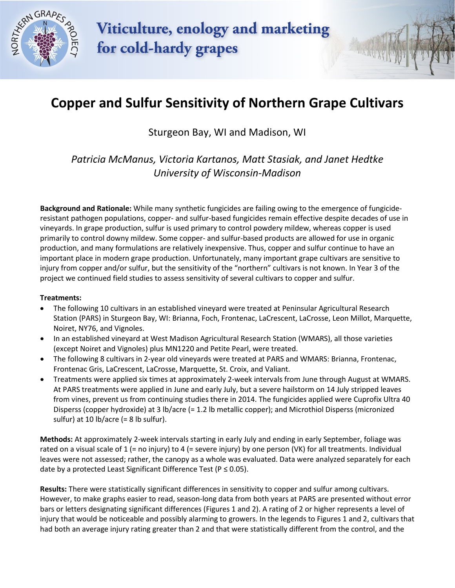

Viticulture, enology and marketing for cold-hardy grapes

## **Copper and Sulfur Sensitivity of Northern Grape Cultivars**

Sturgeon Bay, WI and Madison, WI

*Patricia McManus, Victoria Kartanos, Matt Stasiak, and Janet Hedtke University of Wisconsin-Madison*

**Background and Rationale:** While many synthetic fungicides are failing owing to the emergence of fungicideresistant pathogen populations, copper- and sulfur-based fungicides remain effective despite decades of use in vineyards. In grape production, sulfur is used primary to control powdery mildew, whereas copper is used primarily to control downy mildew. Some copper- and sulfur-based products are allowed for use in organic production, and many formulations are relatively inexpensive. Thus, copper and sulfur continue to have an important place in modern grape production. Unfortunately, many important grape cultivars are sensitive to injury from copper and/or sulfur, but the sensitivity of the "northern" cultivars is not known. In Year 3 of the project we continued field studies to assess sensitivity of several cultivars to copper and sulfur.

## **Treatments:**

- The following 10 cultivars in an established vineyard were treated at Peninsular Agricultural Research Station (PARS) in Sturgeon Bay, WI: Brianna, Foch, Frontenac, LaCrescent, LaCrosse, Leon Millot, Marquette, Noiret, NY76, and Vignoles.
- In an established vineyard at West Madison Agricultural Research Station (WMARS), all those varieties (except Noiret and Vignoles) plus MN1220 and Petite Pearl, were treated.
- The following 8 cultivars in 2-year old vineyards were treated at PARS and WMARS: Brianna, Frontenac, Frontenac Gris, LaCrescent, LaCrosse, Marquette, St. Croix, and Valiant.
- Treatments were applied six times at approximately 2-week intervals from June through August at WMARS. At PARS treatments were applied in June and early July, but a severe hailstorm on 14 July stripped leaves from vines, prevent us from continuing studies there in 2014. The fungicides applied were Cuprofix Ultra 40 Disperss (copper hydroxide) at 3 lb/acre (= 1.2 lb metallic copper); and Microthiol Disperss (micronized sulfur) at 10  $b/$ acre (= 8  $lb$  sulfur).

**Methods:** At approximately 2-week intervals starting in early July and ending in early September, foliage was rated on a visual scale of 1 (= no injury) to 4 (= severe injury) by one person (VK) for all treatments. Individual leaves were not assessed; rather, the canopy as a whole was evaluated. Data were analyzed separately for each date by a protected Least Significant Difference Test ( $P \le 0.05$ ).

**Results:** There were statistically significant differences in sensitivity to copper and sulfur among cultivars. However, to make graphs easier to read, season-long data from both years at PARS are presented without error bars or letters designating significant differences (Figures 1 and 2). A rating of 2 or higher represents a level of injury that would be noticeable and possibly alarming to growers. In the legends to Figures 1 and 2, cultivars that had both an average injury rating greater than 2 and that were statistically different from the control, and the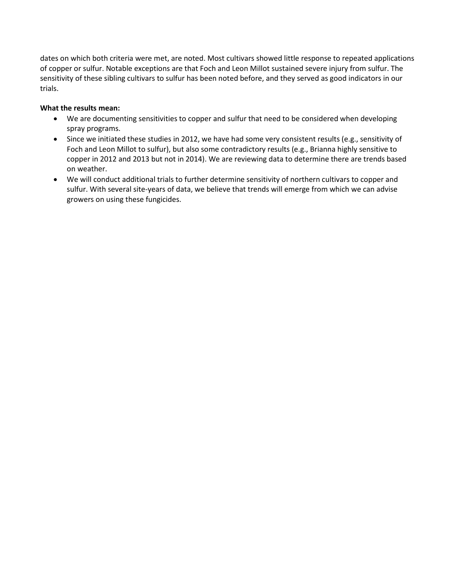dates on which both criteria were met, are noted. Most cultivars showed little response to repeated applications of copper or sulfur. Notable exceptions are that Foch and Leon Millot sustained severe injury from sulfur. The sensitivity of these sibling cultivars to sulfur has been noted before, and they served as good indicators in our trials.

## **What the results mean:**

- We are documenting sensitivities to copper and sulfur that need to be considered when developing spray programs.
- Since we initiated these studies in 2012, we have had some very consistent results (e.g., sensitivity of Foch and Leon Millot to sulfur), but also some contradictory results (e.g., Brianna highly sensitive to copper in 2012 and 2013 but not in 2014). We are reviewing data to determine there are trends based on weather.
- We will conduct additional trials to further determine sensitivity of northern cultivars to copper and sulfur. With several site-years of data, we believe that trends will emerge from which we can advise growers on using these fungicides.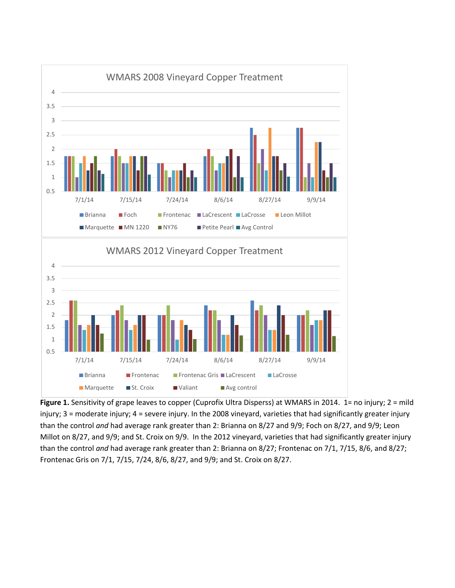

**Figure 1.** Sensitivity of grape leaves to copper (Cuprofix Ultra Disperss) at WMARS in 2014. 1= no injury; 2 = mild injury; 3 = moderate injury; 4 = severe injury. In the 2008 vineyard, varieties that had significantly greater injury than the control *and* had average rank greater than 2: Brianna on 8/27 and 9/9; Foch on 8/27, and 9/9; Leon Millot on 8/27, and 9/9; and St. Croix on 9/9. In the 2012 vineyard, varieties that had significantly greater injury than the control *and* had average rank greater than 2: Brianna on 8/27; Frontenac on 7/1, 7/15, 8/6, and 8/27; Frontenac Gris on 7/1, 7/15, 7/24, 8/6, 8/27, and 9/9; and St. Croix on 8/27.